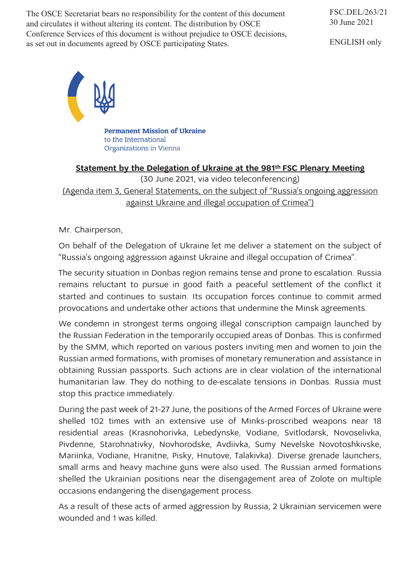The OSCE Secretariat bears no responsibility for the content of this document and circulates it without altering its content. The distribution by OSCE Conference Services of this document is without prejudice to OSCE decisions, as set out in documents agreed by OSCE participating States.

FSC.DEL/263/21 30 June 2021

ENGLISH only



**Permanent Mission of Ukraine** to the International Organizations in Vienna

## **Statement by the Delegation of Ukraine at the 981th FSC Plenary Meeting**

(30 June 2021, via video teleconferencing) (Agenda item 3, General Statements, on the subject of "Russia's ongoing aggression against Ukraine and illegal occupation of Crimea")

Mr. Chairperson,

On behalf of the Delegation of Ukraine let me deliver a statement on the subject of "Russia's ongoing aggression against Ukraine and illegal occupation of Crimea".

The security situation in Donbas region remains tense and prone to escalation. Russia remains reluctant to pursue in good faith a peaceful settlement of the conflict it started and continues to sustain. Its occupation forces continue to commit armed provocations and undertake other actions that undermine the Minsk agreements.

We condemn in strongest terms ongoing illegal conscription campaign launched by the Russian Federation in the temporarily occupied areas of Donbas. This is confirmed by the SMM, which reported on various posters inviting men and women to join the Russian armed formations, with promises of monetary remuneration and assistance in obtaining Russian passports. Such actions are in clear violation of the international humanitarian law. They do nothing to de-escalate tensions in Donbas. Russia must stop this practice immediately.

During the past week of 21-27 June, the positions of the Armed Forces of Ukraine were shelled 102 times with an extensive use of Minks-proscribed weapons near 18 residential areas (Krasnohorivka, Lebedynske, Vodiane, Svitlodarsk, Novoselivka, Pivdenne, Starohnativky, Novhorodske, Avdiivka, Sumy Nevelske Novotoshkivske, Mariinka, Vodiane, Hranitne, Pisky, Hnutove, Talakivka). Diverse grenade launchers, small arms and heavy machine guns were also used. The Russian armed formations shelled the Ukrainian positions near the disengagement area of Zolote on multiple occasions endangering the disengagement process.

As a result of these acts of armed aggression by Russia, 2 Ukrainian servicemen were wounded and 1 was killed.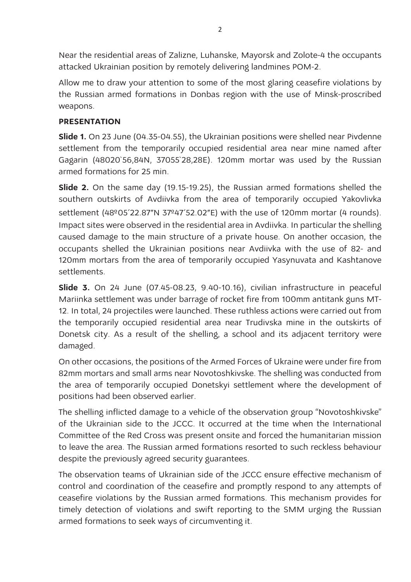Near the residential areas of Zalizne, Luhanske, Mayorsk and Zolote-4 the occupants attacked Ukrainian position by remotely delivering landmines POM-2.

Allow me to draw your attention to some of the most glaring ceasefire violations by the Russian armed formations in Donbas region with the use of Minsk-proscribed weapons.

## **PRESENTATION**

**Slide 1.** On 23 June (04.35-04.55), the Ukrainian positions were shelled near Pivdenne settlement from the temporarily occupied residential area near mine named after Gagarin (48020`56,84N, 37055`28,28E). 120mm mortar was used by the Russian armed formations for 25 min.

**Slide 2.** On the same day (19.15-19.25), the Russian armed formations shelled the southern outskirts of Avdiivka from the area of temporarily occupied Yakovlivka settlement (48º05'22.87"N 37º47'52.02"E) with the use of 120mm mortar (4 rounds). Impact sites were observed in the residential area in Avdiivka. In particular the shelling caused damage to the main structure of a private house. On another occasion, the occupants shelled the Ukrainian positions near Avdiivka with the use of 82- and 120mm mortars from the area of temporarily occupied Yasynuvata and Kashtanove settlements.

**Slide 3.** On 24 June (07.45-08.23, 9.40-10.16), civilian infrastructure in peaceful Mariinka settlement was under barrage of rocket fire from 100mm antitank guns MT-12. In total, 24 projectiles were launched. These ruthless actions were carried out from the temporarily occupied residential area near Trudivska mine in the outskirts of Donetsk city. As a result of the shelling, a school and its adjacent territory were damaged.

On other occasions, the positions of the Armed Forces of Ukraine were under fire from 82mm mortars and small arms near Novotoshkivske. The shelling was conducted from the area of temporarily occupied Donetskyi settlement where the development of positions had been observed earlier.

The shelling inflicted damage to a vehicle of the observation group "Novotoshkivske" of the Ukrainian side to the JCCC. It occurred at the time when the International Committee of the Red Cross was present onsite and forced the humanitarian mission to leave the area. The Russian armed formations resorted to such reckless behaviour despite the previously agreed security guarantees.

The observation teams of Ukrainian side of the JCCC ensure effective mechanism of control and coordination of the ceasefire and promptly respond to any attempts of ceasefire violations by the Russian armed formations. This mechanism provides for timely detection of violations and swift reporting to the SMM urging the Russian armed formations to seek ways of circumventing it.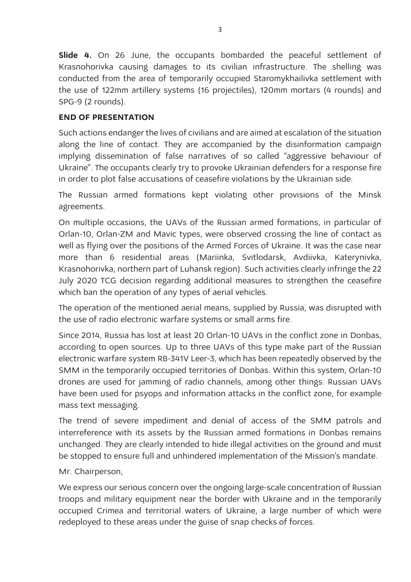**Slide 4.** On 26 June, the occupants bombarded the peaceful settlement of Krasnohorivka causing damages to its civilian infrastructure. The shelling was conducted from the area of temporarily occupied Staromykhailivka settlement with the use of 122mm artillery systems (16 projectiles), 120mm mortars (4 rounds) and SPG-9 (2 rounds).

## **END OF PRESENTATION**

Such actions endanger the lives of civilians and are aimed at escalation of the situation along the line of contact. They are accompanied by the disinformation campaign implying dissemination of false narratives of so called "aggressive behaviour of Ukraine". The occupants clearly try to provoke Ukrainian defenders for a response fire in order to plot false accusations of ceasefire violations by the Ukrainian side.

The Russian armed formations kept violating other provisions of the Minsk agreements.

On multiple occasions, the UAVs of the Russian armed formations, in particular of Orlan-10, Orlan-ZM and Mavic types, were observed crossing the line of contact as well as flying over the positions of the Armed Forces of Ukraine. It was the case near more than 6 residential areas (Mariinka, Svitlodarsk, Avdiivka, Katerynivka, Krasnohorivka, northern part of Luhansk region). Such activities clearly infringe the 22 July 2020 TCG decision regarding additional measures to strengthen the ceasefire which ban the operation of any types of aerial vehicles.

The operation of the mentioned aerial means, supplied by Russia, was disrupted with the use of radio electronic warfare systems or small arms fire.

Since 2014, Russia has lost at least 20 Orlan-10 UAVs in the conflict zone in Donbas, according to open sources. Up to three UAVs of this type make part of the Russian electronic warfare system RB-341V Leer-3, which has been repeatedly observed by the SMM in the temporarily occupied territories of Donbas. Within this system, Orlan-10 drones are used for jamming of radio channels, among other things. Russian UAVs have been used for psyops and information attacks in the conflict zone, for example mass text messaging.

The trend of severe impediment and denial of access of the SMM patrols and interreference with its assets by the Russian armed formations in Donbas remains unchanged. They are clearly intended to hide illegal activities on the ground and must be stopped to ensure full and unhindered implementation of the Mission's mandate.

## Mr. Chairperson,

We express our serious concern over the ongoing large-scale concentration of Russian troops and military equipment near the border with Ukraine and in the temporarily occupied Crimea and territorial waters of Ukraine, a large number of which were redeployed to these areas under the guise of snap checks of forces.